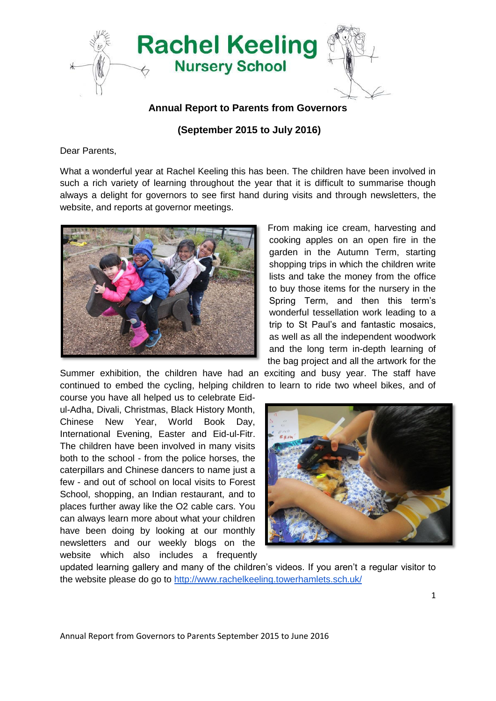

## **Annual Report to Parents from Governors**

## **(September 2015 to July 2016)**

Dear Parents,

What a wonderful year at Rachel Keeling this has been. The children have been involved in such a rich variety of learning throughout the year that it is difficult to summarise though always a delight for governors to see first hand during visits and through newsletters, the website, and reports at governor meetings.



From making ice cream, harvesting and cooking apples on an open fire in the garden in the Autumn Term, starting shopping trips in which the children write lists and take the money from the office to buy those items for the nursery in the Spring Term, and then this term's wonderful tessellation work leading to a trip to St Paul's and fantastic mosaics, as well as all the independent woodwork and the long term in-depth learning of the bag project and all the artwork for the

Summer exhibition, the children have had an exciting and busy year. The staff have continued to embed the cycling, helping children to learn to ride two wheel bikes, and of

course you have all helped us to celebrate Eidul-Adha, Divali, Christmas, Black History Month, Chinese New Year, World Book Day, International Evening, Easter and Eid-ul-Fitr. The children have been involved in many visits both to the school - from the police horses, the caterpillars and Chinese dancers to name just a few - and out of school on local visits to Forest School, shopping, an Indian restaurant, and to places further away like the O2 cable cars. You can always learn more about what your children have been doing by looking at our monthly newsletters and our weekly blogs on the website which also includes a frequently



updated learning gallery and many of the children's videos. If you aren't a regular visitor to the website please do go to<http://www.rachelkeeling.towerhamlets.sch.uk/>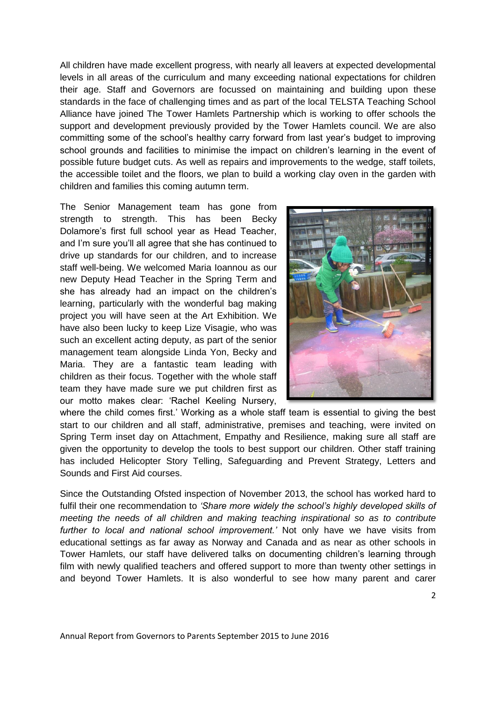All children have made excellent progress, with nearly all leavers at expected developmental levels in all areas of the curriculum and many exceeding national expectations for children their age. Staff and Governors are focussed on maintaining and building upon these standards in the face of challenging times and as part of the local TELSTA Teaching School Alliance have joined The Tower Hamlets Partnership which is working to offer schools the support and development previously provided by the Tower Hamlets council. We are also committing some of the school's healthy carry forward from last year's budget to improving school grounds and facilities to minimise the impact on children's learning in the event of possible future budget cuts. As well as repairs and improvements to the wedge, staff toilets, the accessible toilet and the floors, we plan to build a working clay oven in the garden with children and families this coming autumn term.

The Senior Management team has gone from strength to strength. This has been Becky Dolamore's first full school year as Head Teacher, and I'm sure you'll all agree that she has continued to drive up standards for our children, and to increase staff well-being. We welcomed Maria Ioannou as our new Deputy Head Teacher in the Spring Term and she has already had an impact on the children's learning, particularly with the wonderful bag making project you will have seen at the Art Exhibition. We have also been lucky to keep Lize Visagie, who was such an excellent acting deputy, as part of the senior management team alongside Linda Yon, Becky and Maria. They are a fantastic team leading with children as their focus. Together with the whole staff team they have made sure we put children first as our motto makes clear: 'Rachel Keeling Nursery,



where the child comes first.' Working as a whole staff team is essential to giving the best start to our children and all staff, administrative, premises and teaching, were invited on Spring Term inset day on Attachment, Empathy and Resilience, making sure all staff are given the opportunity to develop the tools to best support our children. Other staff training has included Helicopter Story Telling, Safeguarding and Prevent Strategy, Letters and Sounds and First Aid courses.

Since the Outstanding Ofsted inspection of November 2013, the school has worked hard to fulfil their one recommendation to *'Share more widely the school's highly developed skills of meeting the needs of all children and making teaching inspirational so as to contribute further to local and national school improvement.'* Not only have we have visits from educational settings as far away as Norway and Canada and as near as other schools in Tower Hamlets, our staff have delivered talks on documenting children's learning through film with newly qualified teachers and offered support to more than twenty other settings in and beyond Tower Hamlets. It is also wonderful to see how many parent and carer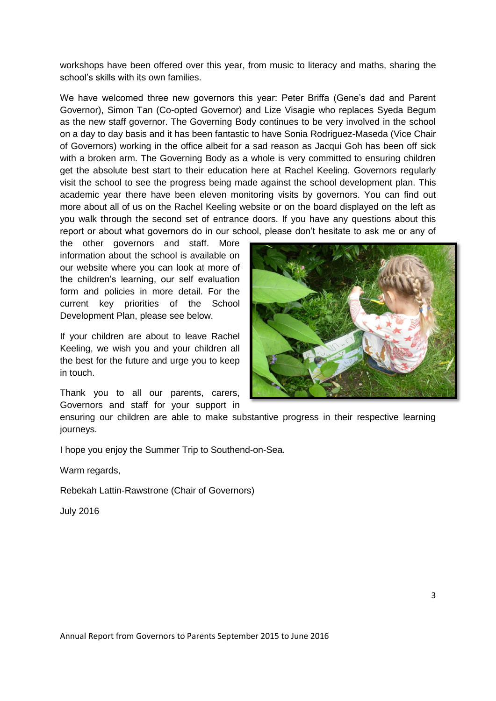workshops have been offered over this year, from music to literacy and maths, sharing the school's skills with its own families.

We have welcomed three new governors this year: Peter Briffa (Gene's dad and Parent Governor), Simon Tan (Co-opted Governor) and Lize Visagie who replaces Syeda Begum as the new staff governor. The Governing Body continues to be very involved in the school on a day to day basis and it has been fantastic to have Sonia Rodriguez-Maseda (Vice Chair of Governors) working in the office albeit for a sad reason as Jacqui Goh has been off sick with a broken arm. The Governing Body as a whole is very committed to ensuring children get the absolute best start to their education here at Rachel Keeling. Governors regularly visit the school to see the progress being made against the school development plan. This academic year there have been eleven monitoring visits by governors. You can find out more about all of us on the Rachel Keeling website or on the board displayed on the left as you walk through the second set of entrance doors. If you have any questions about this report or about what governors do in our school, please don't hesitate to ask me or any of

the other governors and staff. More information about the school is available on our website where you can look at more of the children's learning, our self evaluation form and policies in more detail. For the current key priorities of the School Development Plan, please see below.

If your children are about to leave Rachel Keeling, we wish you and your children all the best for the future and urge you to keep in touch.

Thank you to all our parents, carers, Governors and staff for your support in



ensuring our children are able to make substantive progress in their respective learning journeys.

I hope you enjoy the Summer Trip to Southend-on-Sea.

Warm regards,

Rebekah Lattin-Rawstrone (Chair of Governors)

July 2016